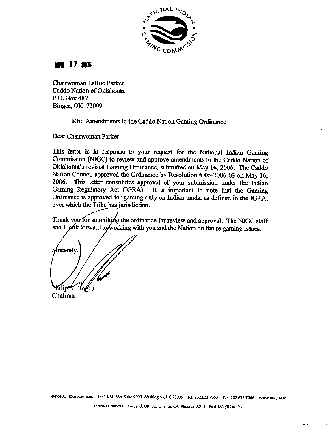

## **MAY 17 2006**

**Chairwoman LaRue Paiker Caddo Nation of OkIahoma P.O. Box 487 Binger, OK 73009** 

## **RE: Amendments to the Caddo Nation Gaming Ordinance**

**Dear Chairwoman Parker:** 

**This letter is** in **response to your request for the National Indian Gaming Commission (NIGC) to review and approve amendments to the Caddo Nation of Oklahoma's revised Garming Ordinance, submitted on May 16,2006. The Caddo Nation Council approved the** Ordinance **by Resolution** # **05-2006-03 on May 16, 2006. This letter constitutes approval of your submission under the Indian Gaming Regulatory Act** (IGRA). **It is important to note that the Gaming Ordinance is approved for gaming only on Indian lands, as defined in the IGRA, over which the Tribe has jurisdiction.** 

/--? **the ordinance for review and approval. The NIGC staff**  and I look forward to working with you and the Nation on future gaming issues.

S⁄incerely,

Philip N. Hogen Chairman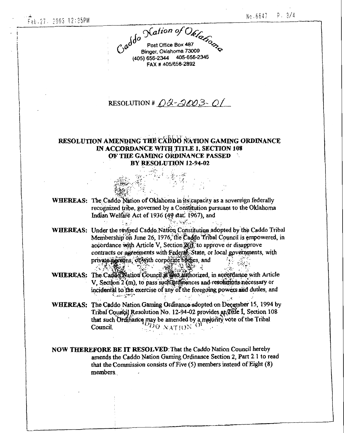Call of Office Box 487 Binger, Oklahoma 73009 (405) 656-2344 405-656-2345 FAX #405/656-2892

## RESOLUTION #  $\ddot{\Omega}$  - 2003-01

## RESOLUTION AMENDING THE CADDO NATION GAMING ORDINANCE IN ACCORDANCE WITH TITLE 1, SECTION 108 OF THE GAMING ORDINANCE PASSED BY RESOLUTION 12-94-02

| <b>WHEREAS:</b> The Caddo Nation of Oklahoma in its capacity as a sovereign federally |
|---------------------------------------------------------------------------------------|
| recognized tribe, governed by a Constitution pursuant to the Oklahoma                 |
| Indian Welfare Act of 1936 (49 stat 1967), and                                        |
| <b>Controller State</b>                                                               |

WHEREAS: Under the revised Caddo Nation Constitution adopted by the Caddo Tribal Membership on June 26, 1976, the Caddo Tribal Council is empowered, in accordance with Article V, Section 2013, to approve or disapprove contracts or agreements with Federal State, or local governments, with private news or with corporate buttes, and  $-32.98$ 

 $\mathcal{F}(\mathbf{q},\mathbf{q})$ 

- 六 清 (義益) WHEREAS: The Caddo Nation Council # 180 authorized, in accordance with Article V, Section 2 (m), to pass such promances and resolutions necessary or incidental to the exercise of any of the foregoing powers and duties, and المؤاسية والمتقفين
- WHEREAS: The Caddo Nation Gaming Ordinance adopted on December 15, 1994 by Tribal Council Resolution No. 12-94-02 provides at Tribe I, Section 108 that such Ordifiance may be amended by a majority vote of the Tribal Council.
- NOW THEREFORE BE IT RESOLVED: That the Caddo Nation Council hereby amends the Caddo Nation Gaming Ordinance Section 2, Part 2.1 to read that the Commission consists of Five (5) members instead of Eight (8) members.